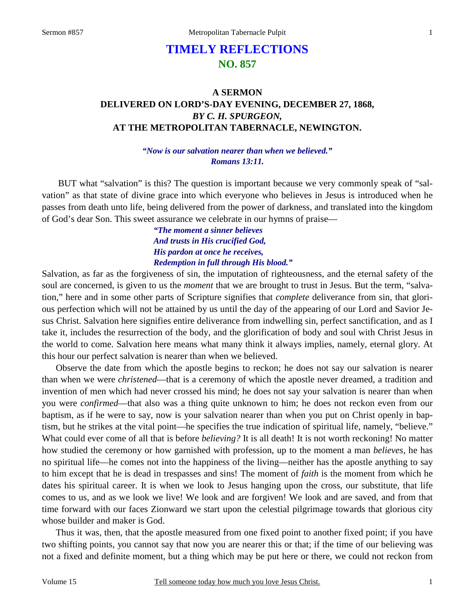# **TIMELY REFLECTIONS NO. 857**

## **A SERMON DELIVERED ON LORD'S-DAY EVENING, DECEMBER 27, 1868,** *BY C. H. SPURGEON,*  **AT THE METROPOLITAN TABERNACLE, NEWINGTON.**

#### *"Now is our salvation nearer than when we believed." Romans 13:11.*

BUT what "salvation" is this? The question is important because we very commonly speak of "salvation" as that state of divine grace into which everyone who believes in Jesus is introduced when he passes from death unto life, being delivered from the power of darkness, and translated into the kingdom of God's dear Son. This sweet assurance we celebrate in our hymns of praise—

> *"The moment a sinner believes And trusts in His crucified God, His pardon at once he receives, Redemption in full through His blood."*

Salvation, as far as the forgiveness of sin, the imputation of righteousness, and the eternal safety of the soul are concerned, is given to us the *moment* that we are brought to trust in Jesus. But the term, "salvation," here and in some other parts of Scripture signifies that *complete* deliverance from sin, that glorious perfection which will not be attained by us until the day of the appearing of our Lord and Savior Jesus Christ. Salvation here signifies entire deliverance from indwelling sin, perfect sanctification, and as I take it, includes the resurrection of the body, and the glorification of body and soul with Christ Jesus in the world to come. Salvation here means what many think it always implies, namely, eternal glory. At this hour our perfect salvation is nearer than when we believed.

 Observe the date from which the apostle begins to reckon; he does not say our salvation is nearer than when we were *christened*—that is a ceremony of which the apostle never dreamed, a tradition and invention of men which had never crossed his mind; he does not say your salvation is nearer than when you were *confirmed*—that also was a thing quite unknown to him; he does not reckon even from our baptism, as if he were to say, now is your salvation nearer than when you put on Christ openly in baptism, but he strikes at the vital point—he specifies the true indication of spiritual life, namely, "believe." What could ever come of all that is before *believing?* It is all death! It is not worth reckoning! No matter how studied the ceremony or how garnished with profession, up to the moment a man *believes,* he has no spiritual life—he comes not into the happiness of the living—neither has the apostle anything to say to him except that he is dead in trespasses and sins! The moment of *faith* is the moment from which he dates his spiritual career. It is when we look to Jesus hanging upon the cross, our substitute, that life comes to us, and as we look we live! We look and are forgiven! We look and are saved, and from that time forward with our faces Zionward we start upon the celestial pilgrimage towards that glorious city whose builder and maker is God.

 Thus it was, then, that the apostle measured from one fixed point to another fixed point; if you have two shifting points, you cannot say that now you are nearer this or that; if the time of our believing was not a fixed and definite moment, but a thing which may be put here or there, we could not reckon from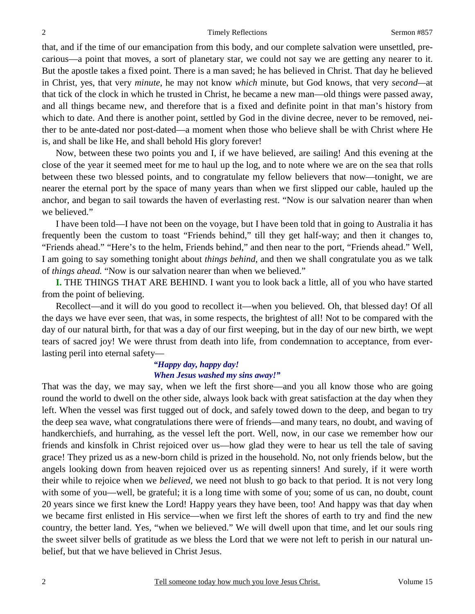that, and if the time of our emancipation from this body, and our complete salvation were unsettled, precarious—a point that moves, a sort of planetary star, we could not say we are getting any nearer to it. But the apostle takes a fixed point. There is a man saved; he has believed in Christ. That day he believed in Christ, yes, that very *minute,* he may not know *which* minute, but God knows, that very *second—*at that tick of the clock in which he trusted in Christ, he became a new man—old things were passed away, and all things became new, and therefore that is a fixed and definite point in that man's history from which to date. And there is another point, settled by God in the divine decree, never to be removed, neither to be ante-dated nor post-dated—a moment when those who believe shall be with Christ where He is, and shall be like He, and shall behold His glory forever!

 Now, between these two points you and I, if we have believed, are sailing! And this evening at the close of the year it seemed meet for me to haul up the log, and to note where we are on the sea that rolls between these two blessed points, and to congratulate my fellow believers that now—tonight, we are nearer the eternal port by the space of many years than when we first slipped our cable, hauled up the anchor, and began to sail towards the haven of everlasting rest. "Now is our salvation nearer than when we believed."

 I have been told—I have not been on the voyage, but I have been told that in going to Australia it has frequently been the custom to toast "Friends behind," till they get half-way; and then it changes to, "Friends ahead." "Here's to the helm, Friends behind," and then near to the port, "Friends ahead." Well, I am going to say something tonight about *things behind,* and then we shall congratulate you as we talk of *things ahead.* "Now is our salvation nearer than when we believed."

**I.** THE THINGS THAT ARE BEHIND. I want you to look back a little, all of you who have started from the point of believing.

 Recollect—and it will do you good to recollect it—when you believed. Oh, that blessed day! Of all the days we have ever seen, that was, in some respects, the brightest of all! Not to be compared with the day of our natural birth, for that was a day of our first weeping, but in the day of our new birth, we wept tears of sacred joy! We were thrust from death into life, from condemnation to acceptance, from everlasting peril into eternal safety—

#### *"Happy day, happy day! When Jesus washed my sins away!"*

That was the day, we may say, when we left the first shore—and you all know those who are going round the world to dwell on the other side, always look back with great satisfaction at the day when they left. When the vessel was first tugged out of dock, and safely towed down to the deep, and began to try the deep sea wave, what congratulations there were of friends—and many tears, no doubt, and waving of handkerchiefs, and hurrahing, as the vessel left the port. Well, now, in our case we remember how our friends and kinsfolk in Christ rejoiced over us—how glad they were to hear us tell the tale of saving grace! They prized us as a new-born child is prized in the household. No, not only friends below, but the angels looking down from heaven rejoiced over us as repenting sinners! And surely, if it were worth their while to rejoice when we *believed,* we need not blush to go back to that period. It is not very long with some of you—well, be grateful; it is a long time with some of you; some of us can, no doubt, count 20 years since we first knew the Lord! Happy years they have been, too! And happy was that day when we became first enlisted in His service—when we first left the shores of earth to try and find the new country, the better land. Yes, "when we believed." We will dwell upon that time, and let our souls ring the sweet silver bells of gratitude as we bless the Lord that we were not left to perish in our natural unbelief, but that we have believed in Christ Jesus.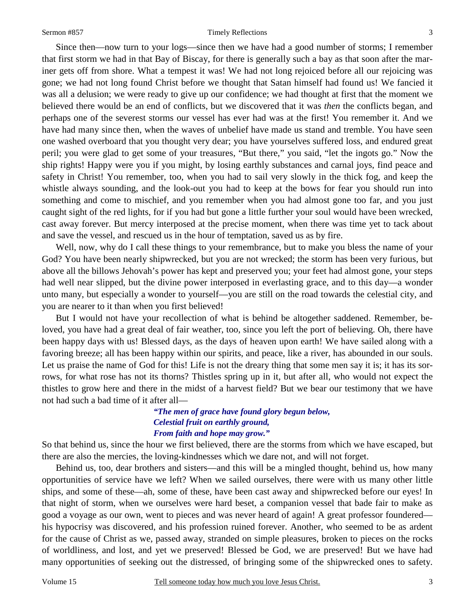#### Sermon #857 Timely Reflections

 Since then—now turn to your logs—since then we have had a good number of storms; I remember that first storm we had in that Bay of Biscay, for there is generally such a bay as that soon after the mariner gets off from shore. What a tempest it was! We had not long rejoiced before all our rejoicing was gone; we had not long found Christ before we thought that Satan himself had found us! We fancied it was all a delusion; we were ready to give up our confidence; we had thought at first that the moment we believed there would be an end of conflicts, but we discovered that it was *then* the conflicts began, and perhaps one of the severest storms our vessel has ever had was at the first! You remember it. And we have had many since then, when the waves of unbelief have made us stand and tremble. You have seen one washed overboard that you thought very dear; you have yourselves suffered loss, and endured great peril; you were glad to get some of your treasures, "But there," you said, "let the ingots go." Now the ship rights! Happy were you if you might, by losing earthly substances and carnal joys, find peace and safety in Christ! You remember, too, when you had to sail very slowly in the thick fog, and keep the whistle always sounding, and the look-out you had to keep at the bows for fear you should run into something and come to mischief, and you remember when you had almost gone too far, and you just caught sight of the red lights, for if you had but gone a little further your soul would have been wrecked, cast away forever. But mercy interposed at the precise moment, when there was time yet to tack about and save the vessel, and rescued us in the hour of temptation, saved us as by fire.

Well, now, why do I call these things to your remembrance, but to make you bless the name of your God? You have been nearly shipwrecked, but you are not wrecked; the storm has been very furious, but above all the billows Jehovah's power has kept and preserved you; your feet had almost gone, your steps had well near slipped, but the divine power interposed in everlasting grace, and to this day—a wonder unto many, but especially a wonder to yourself—you are still on the road towards the celestial city, and you are nearer to it than when you first believed!

 But I would not have your recollection of what is behind be altogether saddened. Remember, beloved, you have had a great deal of fair weather, too, since you left the port of believing. Oh, there have been happy days with us! Blessed days, as the days of heaven upon earth! We have sailed along with a favoring breeze; all has been happy within our spirits, and peace, like a river, has abounded in our souls. Let us praise the name of God for this! Life is not the dreary thing that some men say it is; it has its sorrows, for what rose has not its thorns? Thistles spring up in it, but after all, who would not expect the thistles to grow here and there in the midst of a harvest field? But we bear our testimony that we have not had such a bad time of it after all—

#### *"The men of grace have found glory begun below, Celestial fruit on earthly ground, From faith and hope may grow."*

So that behind us, since the hour we first believed, there are the storms from which we have escaped, but there are also the mercies, the loving-kindnesses which we dare not, and will not forget.

 Behind us, too, dear brothers and sisters—and this will be a mingled thought, behind us, how many opportunities of service have we left? When we sailed ourselves, there were with us many other little ships, and some of these—ah, some of these, have been cast away and shipwrecked before our eyes! In that night of storm, when we ourselves were hard beset, a companion vessel that bade fair to make as good a voyage as our own, went to pieces and was never heard of again! A great professor foundered his hypocrisy was discovered, and his profession ruined forever. Another, who seemed to be as ardent for the cause of Christ as we, passed away, stranded on simple pleasures, broken to pieces on the rocks of worldliness, and lost, and yet we preserved! Blessed be God, we are preserved! But we have had many opportunities of seeking out the distressed, of bringing some of the shipwrecked ones to safety.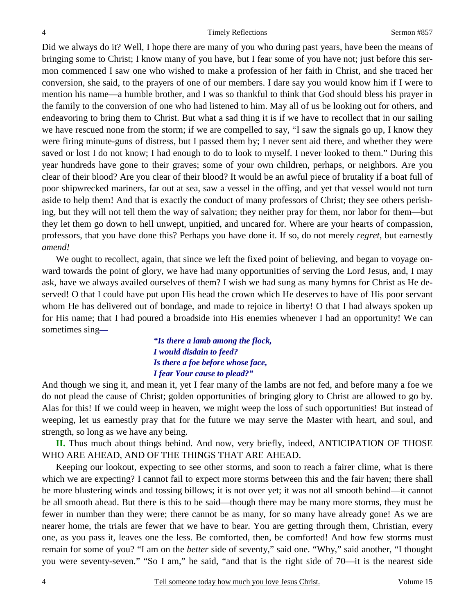Did we always do it? Well, I hope there are many of you who during past years, have been the means of bringing some to Christ; I know many of you have, but I fear some of you have not; just before this sermon commenced I saw one who wished to make a profession of her faith in Christ, and she traced her conversion, she said, to the prayers of one of our members. I dare say you would know him if I were to mention his name—a humble brother, and I was so thankful to think that God should bless his prayer in the family to the conversion of one who had listened to him. May all of us be looking out for others, and endeavoring to bring them to Christ. But what a sad thing it is if we have to recollect that in our sailing we have rescued none from the storm; if we are compelled to say, "I saw the signals go up, I know they were firing minute-guns of distress, but I passed them by; I never sent aid there, and whether they were saved or lost I do not know; I had enough to do to look to myself. I never looked to them." During this year hundreds have gone to their graves; some of your own children, perhaps, or neighbors. Are you clear of their blood? Are you clear of their blood? It would be an awful piece of brutality if a boat full of poor shipwrecked mariners, far out at sea, saw a vessel in the offing, and yet that vessel would not turn aside to help them! And that is exactly the conduct of many professors of Christ; they see others perishing, but they will not tell them the way of salvation; they neither pray for them, nor labor for them—but they let them go down to hell unwept, unpitied, and uncared for. Where are your hearts of compassion, professors, that you have done this? Perhaps you have done it. If so, do not merely *regret*, but earnestly *amend!*

We ought to recollect, again, that since we left the fixed point of believing, and began to voyage onward towards the point of glory, we have had many opportunities of serving the Lord Jesus, and, I may ask, have we always availed ourselves of them? I wish we had sung as many hymns for Christ as He deserved! O that I could have put upon His head the crown which He deserves to have of His poor servant whom He has delivered out of bondage, and made to rejoice in liberty! O that I had always spoken up for His name; that I had poured a broadside into His enemies whenever I had an opportunity! We can sometimes sing*—* 

> *"Is there a lamb among the flock, I would disdain to feed? Is there a foe before whose face, I fear Your cause to plead?"*

And though we sing it, and mean it, yet I fear many of the lambs are not fed, and before many a foe we do not plead the cause of Christ; golden opportunities of bringing glory to Christ are allowed to go by. Alas for this! If we could weep in heaven, we might weep the loss of such opportunities! But instead of weeping, let us earnestly pray that for the future we may serve the Master with heart, and soul, and strength, so long as we have any being.

**II.** Thus much about things behind. And now, very briefly, indeed, ANTICIPATION OF THOSE WHO ARE AHEAD, AND OF THE THINGS THAT ARE AHEAD.

 Keeping our lookout, expecting to see other storms, and soon to reach a fairer clime, what is there which we are expecting? I cannot fail to expect more storms between this and the fair haven; there shall be more blustering winds and tossing billows; it is not over yet; it was not all smooth behind—it cannot be all smooth ahead. But there is this to be said—though there may be many more storms, they must be fewer in number than they were; there cannot be as many, for so many have already gone! As we are nearer home, the trials are fewer that we have to bear. You are getting through them, Christian, every one, as you pass it, leaves one the less. Be comforted, then, be comforted! And how few storms must remain for some of you? "I am on the *better* side of seventy," said one. "Why," said another, "I thought you were seventy-seven." "So I am," he said, "and that is the right side of 70—it is the nearest side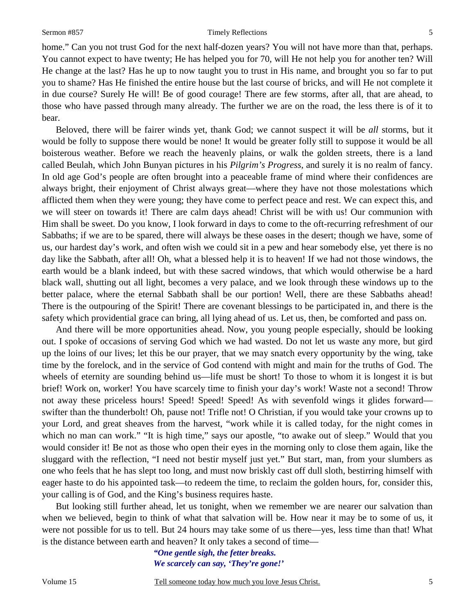home." Can you not trust God for the next half-dozen years? You will not have more than that, perhaps. You cannot expect to have twenty; He has helped you for 70, will He not help you for another ten? Will He change at the last? Has he up to now taught you to trust in His name, and brought you so far to put you to shame? Has He finished the entire house but the last course of bricks, and will He not complete it in due course? Surely He will! Be of good courage! There are few storms, after all, that are ahead, to those who have passed through many already. The further we are on the road, the less there is of it to bear.

 Beloved, there will be fairer winds yet, thank God; we cannot suspect it will be *all* storms, but it would be folly to suppose there would be none! It would be greater folly still to suppose it would be all boisterous weather. Before we reach the heavenly plains, or walk the golden streets, there is a land called Beulah, which John Bunyan pictures in his *Pilgrim's Progress,* and surely it is no realm of fancy. In old age God's people are often brought into a peaceable frame of mind where their confidences are always bright, their enjoyment of Christ always great—where they have not those molestations which afflicted them when they were young; they have come to perfect peace and rest. We can expect this, and we will steer on towards it! There are calm days ahead! Christ will be with us! Our communion with Him shall be sweet. Do you know, I look forward in days to come to the oft-recurring refreshment of our Sabbaths; if we are to be spared, there will always be these oases in the desert; though we have, some of us, our hardest day's work, and often wish we could sit in a pew and hear somebody else, yet there is no day like the Sabbath, after all! Oh, what a blessed help it is to heaven! If we had not those windows, the earth would be a blank indeed, but with these sacred windows, that which would otherwise be a hard black wall, shutting out all light, becomes a very palace, and we look through these windows up to the better palace, where the eternal Sabbath shall be our portion! Well, there are these Sabbaths ahead! There is the outpouring of the Spirit! There are covenant blessings to be participated in, and there is the safety which providential grace can bring, all lying ahead of us. Let us, then, be comforted and pass on.

 And there will be more opportunities ahead. Now, you young people especially, should be looking out. I spoke of occasions of serving God which we had wasted. Do not let us waste any more, but gird up the loins of our lives; let this be our prayer, that we may snatch every opportunity by the wing, take time by the forelock, and in the service of God contend with might and main for the truths of God. The wheels of eternity are sounding behind us—life must be short! To those to whom it is longest it is but brief! Work on, worker! You have scarcely time to finish your day's work! Waste not a second! Throw not away these priceless hours! Speed! Speed! Speed! As with sevenfold wings it glides forward swifter than the thunderbolt! Oh, pause not! Trifle not! O Christian, if you would take your crowns up to your Lord, and great sheaves from the harvest, "work while it is called today, for the night comes in which no man can work." "It is high time," says our apostle, "to awake out of sleep." Would that you would consider it! Be not as those who open their eyes in the morning only to close them again, like the sluggard with the reflection, "I need not bestir myself just yet." But start, man, from your slumbers as one who feels that he has slept too long, and must now briskly cast off dull sloth, bestirring himself with eager haste to do his appointed task—to redeem the time, to reclaim the golden hours, for, consider this, your calling is of God, and the King's business requires haste.

 But looking still further ahead, let us tonight, when we remember we are nearer our salvation than when we believed, begin to think of what that salvation will be. How near it may be to some of us, it were not possible for us to tell. But 24 hours may take some of us there—yes, less time than that! What is the distance between earth and heaven? It only takes a second of time—

> *"One gentle sigh, the fetter breaks. We scarcely can say, 'They're gone!'*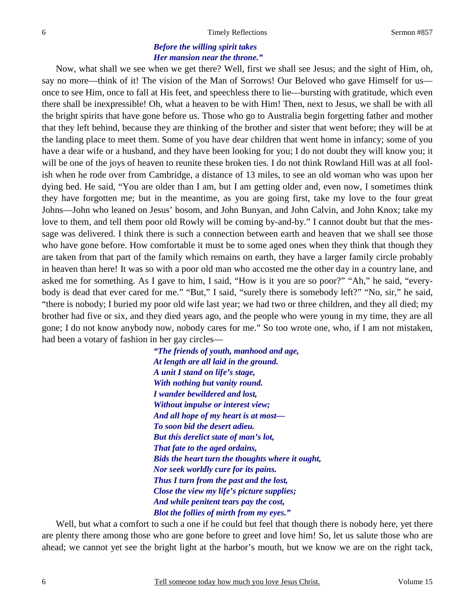### *Before the willing spirit takes Her mansion near the throne."*

 Now, what shall we see when we get there? Well, first we shall see Jesus; and the sight of Him, oh, say no more—think of it! The vision of the Man of Sorrows! Our Beloved who gave Himself for us once to see Him, once to fall at His feet, and speechless there to lie—bursting with gratitude, which even there shall be inexpressible! Oh, what a heaven to be with Him! Then, next to Jesus, we shall be with all the bright spirits that have gone before us. Those who go to Australia begin forgetting father and mother that they left behind, because they are thinking of the brother and sister that went before; they will be at the landing place to meet them. Some of you have dear children that went home in infancy; some of you have a dear wife or a husband, and they have been looking for you; I do not doubt they will know you; it will be one of the joys of heaven to reunite these broken ties. I do not think Rowland Hill was at all foolish when he rode over from Cambridge, a distance of 13 miles, to see an old woman who was upon her dying bed. He said, "You are older than I am, but I am getting older and, even now, I sometimes think they have forgotten me; but in the meantime, as you are going first, take my love to the four great Johns—John who leaned on Jesus' bosom, and John Bunyan, and John Calvin, and John Knox; take my love to them, and tell them poor old Rowly will be coming by-and-by." I cannot doubt but that the message was delivered. I think there is such a connection between earth and heaven that we shall see those who have gone before. How comfortable it must be to some aged ones when they think that though they are taken from that part of the family which remains on earth, they have a larger family circle probably in heaven than here! It was so with a poor old man who accosted me the other day in a country lane, and asked me for something. As I gave to him, I said, "How is it you are so poor?" "Ah," he said, "everybody is dead that ever cared for me." "But," I said, "surely there is somebody left?" "No, sir," he said, "there is nobody; I buried my poor old wife last year; we had two or three children, and they all died; my brother had five or six, and they died years ago, and the people who were young in my time, they are all gone; I do not know anybody now, nobody cares for me." So too wrote one, who, if I am not mistaken, had been a votary of fashion in her gay circles—

> *"The friends of youth, manhood and age, At length are all laid in the ground. A unit I stand on life's stage, With nothing but vanity round. I wander bewildered and lost, Without impulse or interest view; And all hope of my heart is at most— To soon bid the desert adieu. But this derelict state of man's lot, That fate to the aged ordains, Bids the heart turn the thoughts where it ought, Nor seek worldly cure for its pains. Thus I turn from the past and the lost, Close the view my life's picture supplies; And while penitent tears pay the cost, Blot the follies of mirth from my eyes."*

 Well, but what a comfort to such a one if he could but feel that though there is nobody here, yet there are plenty there among those who are gone before to greet and love him! So, let us salute those who are ahead; we cannot yet see the bright light at the harbor's mouth, but we know we are on the right tack,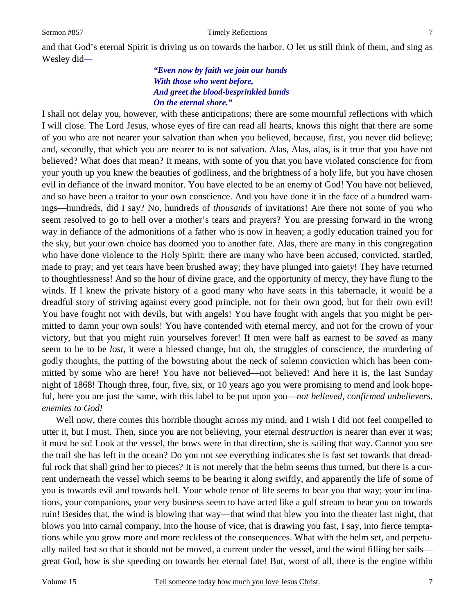and that God's eternal Spirit is driving us on towards the harbor. O let us still think of them, and sing as Wesley did*—* 

#### *"Even now by faith we join our hands With those who went before, And greet the blood-besprinkled bands On the eternal shore."*

I shall not delay you, however, with these anticipations; there are some mournful reflections with which I will close. The Lord Jesus, whose eyes of fire can read all hearts, knows this night that there are some of you who are not nearer your salvation than when you believed, because, first, you never did believe; and, secondly, that which you are nearer to is not salvation. Alas, Alas, alas, is it true that you have not believed? What does that mean? It means, with some of you that you have violated conscience for from your youth up you knew the beauties of godliness, and the brightness of a holy life, but you have chosen evil in defiance of the inward monitor. You have elected to be an enemy of God! You have not believed, and so have been a traitor to your own conscience. And you have done it in the face of a hundred warnings—hundreds, did I say? No, hundreds of *thousands* of invitations! Are there not some of you who seem resolved to go to hell over a mother's tears and prayers? You are pressing forward in the wrong way in defiance of the admonitions of a father who is now in heaven; a godly education trained you for the sky, but your own choice has doomed you to another fate. Alas, there are many in this congregation who have done violence to the Holy Spirit; there are many who have been accused, convicted, startled, made to pray; and yet tears have been brushed away; they have plunged into gaiety! They have returned to thoughtlessness! And so the hour of divine grace, and the opportunity of mercy, they have flung to the winds. If I knew the private history of a good many who have seats in this tabernacle, it would be a dreadful story of striving against every good principle, not for their own good, but for their own evil! You have fought not with devils, but with angels! You have fought with angels that you might be permitted to damn your own souls! You have contended with eternal mercy, and not for the crown of your victory, but that you might ruin yourselves forever! If men were half as earnest to be *saved* as many seem to be to be *lost,* it were a blessed change, but oh, the struggles of conscience, the murdering of godly thoughts, the putting of the bowstring about the neck of solemn conviction which has been committed by some who are here! You have not believed—not believed! And here it is, the last Sunday night of 1868! Though three, four, five, six, or 10 years ago you were promising to mend and look hopeful, here you are just the same, with this label to be put upon you—*not believed, confirmed unbelievers, enemies to God!* 

Well now, there comes this horrible thought across my mind, and I wish I did not feel compelled to utter it, but I must. Then, since you are not believing, your eternal *destruction* is nearer than ever it was; it must be so! Look at the vessel, the bows were in that direction, she is sailing that way. Cannot you see the trail she has left in the ocean? Do you not see everything indicates she is fast set towards that dreadful rock that shall grind her to pieces? It is not merely that the helm seems thus turned, but there is a current underneath the vessel which seems to be bearing it along swiftly, and apparently the life of some of you is towards evil and towards hell. Your whole tenor of life seems to bear you that way; your inclinations, your companions, your very business seem to have acted like a gulf stream to bear you on towards ruin! Besides that, the wind is blowing that way—that wind that blew you into the theater last night, that blows you into carnal company, into the house of vice, that is drawing you fast, I say, into fierce temptations while you grow more and more reckless of the consequences. What with the helm set, and perpetually nailed fast so that it should not be moved, a current under the vessel, and the wind filling her sails great God, how is she speeding on towards her eternal fate! But, worst of all, there is the engine within